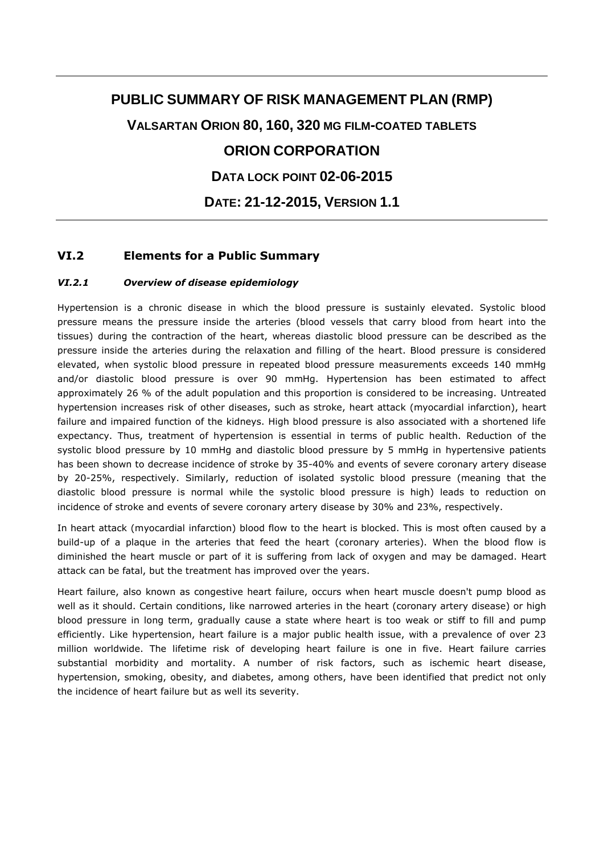# **PUBLIC SUMMARY OF RISK MANAGEMENT PLAN (RMP)**

**VALSARTAN ORION 80, 160, 320 MG FILM-COATED TABLETS**

# **ORION CORPORATION**

**DATA LOCK POINT 02-06-2015**

**DATE: 21-12-2015, VERSION 1.1**

## **VI.2 Elements for a Public Summary**

#### *VI.2.1 Overview of disease epidemiology*

Hypertension is a chronic disease in which the blood pressure is sustainly elevated. Systolic blood pressure means the pressure inside the arteries (blood vessels that carry blood from heart into the tissues) during the contraction of the heart, whereas diastolic blood pressure can be described as the pressure inside the arteries during the relaxation and filling of the heart. Blood pressure is considered elevated, when systolic blood pressure in repeated blood pressure measurements exceeds 140 mmHg and/or diastolic blood pressure is over 90 mmHg. Hypertension has been estimated to affect approximately 26 % of the adult population and this proportion is considered to be increasing. Untreated hypertension increases risk of other diseases, such as stroke, heart attack (myocardial infarction), heart failure and impaired function of the kidneys. High blood pressure is also associated with a shortened life expectancy. Thus, treatment of hypertension is essential in terms of public health. Reduction of the systolic blood pressure by 10 mmHg and diastolic blood pressure by 5 mmHg in hypertensive patients has been shown to decrease incidence of stroke by 35-40% and events of severe coronary artery disease by 20-25%, respectively. Similarly, reduction of isolated systolic blood pressure (meaning that the diastolic blood pressure is normal while the systolic blood pressure is high) leads to reduction on incidence of stroke and events of severe coronary artery disease by 30% and 23%, respectively.

In heart attack (myocardial infarction) blood flow to the heart is blocked. This is most often caused by a build-up of a plaque in the arteries that feed the heart (coronary arteries). When the blood flow is diminished the heart muscle or part of it is suffering from lack of oxygen and may be damaged. Heart attack can be fatal, but the treatment has improved over the years.

Heart failure, also known as congestive heart failure, occurs when heart muscle doesn't pump blood as well as it should. Certain conditions, like narrowed arteries in the heart (coronary artery disease) or high blood pressure in long term, gradually cause a state where heart is too weak or stiff to fill and pump efficiently. Like hypertension, heart failure is a major public health issue, with a prevalence of over 23 million worldwide. The lifetime risk of developing heart failure is one in five. Heart failure carries substantial morbidity and mortality. A number of risk factors, such as ischemic heart disease, hypertension, smoking, obesity, and diabetes, among others, have been identified that predict not only the incidence of heart failure but as well its severity.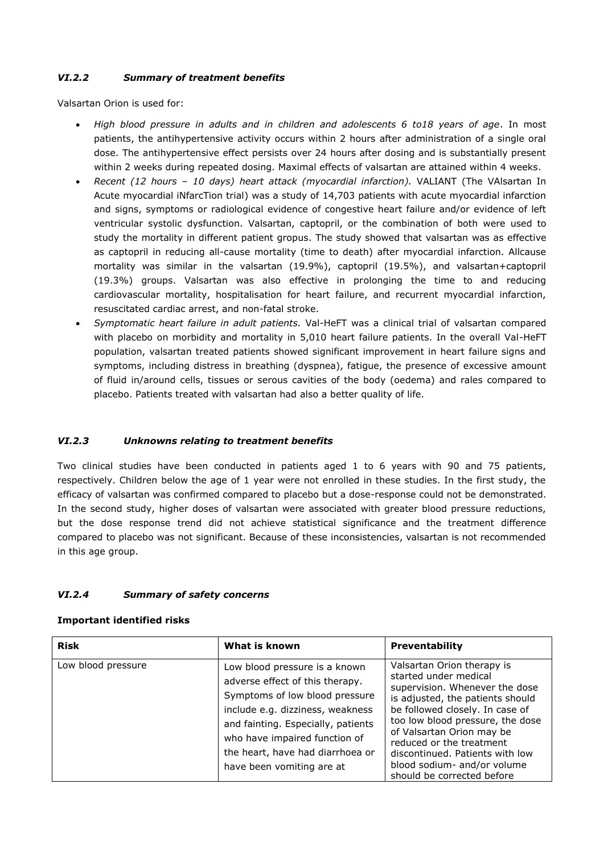## *VI.2.2 Summary of treatment benefits*

Valsartan Orion is used for:

- *High blood pressure in adults and in children and adolescents 6 to18 years of age*. In most patients, the antihypertensive activity occurs within 2 hours after administration of a single oral dose. The antihypertensive effect persists over 24 hours after dosing and is substantially present within 2 weeks during repeated dosing. Maximal effects of valsartan are attained within 4 weeks.
- *Recent (12 hours – 10 days) heart attack (myocardial infarction).* VALIANT (The VAlsartan In Acute myocardial iNfarcTion trial) was a study of 14,703 patients with acute myocardial infarction and signs, symptoms or radiological evidence of congestive heart failure and/or evidence of left ventricular systolic dysfunction. Valsartan, captopril, or the combination of both were used to study the mortality in different patient gropus. The study showed that valsartan was as effective as captopril in reducing all-cause mortality (time to death) after myocardial infarction. Allcause mortality was similar in the valsartan (19.9%), captopril (19.5%), and valsartan+captopril (19.3%) groups. Valsartan was also effective in prolonging the time to and reducing cardiovascular mortality, hospitalisation for heart failure, and recurrent myocardial infarction, resuscitated cardiac arrest, and non-fatal stroke.
- *Symptomatic heart failure in adult patients.* Val-HeFT was a clinical trial of valsartan compared with placebo on morbidity and mortality in 5,010 heart failure patients. In the overall Val-HeFT population, valsartan treated patients showed significant improvement in heart failure signs and symptoms, including distress in breathing (dyspnea), fatigue, the presence of excessive amount of fluid in/around cells, tissues or serous cavities of the body (oedema) and rales compared to placebo. Patients treated with valsartan had also a better quality of life.

## *VI.2.3 Unknowns relating to treatment benefits*

Two clinical studies have been conducted in patients aged 1 to 6 years with 90 and 75 patients, respectively. Children below the age of 1 year were not enrolled in these studies. In the first study, the efficacy of valsartan was confirmed compared to placebo but a dose-response could not be demonstrated. In the second study, higher doses of valsartan were associated with greater blood pressure reductions, but the dose response trend did not achieve statistical significance and the treatment difference compared to placebo was not significant. Because of these inconsistencies, valsartan is not recommended in this age group.

#### *VI.2.4 Summary of safety concerns*

#### **Important identified risks**

| <b>Risk</b>        | What is known                                                                                                                                                                                                                                                                  | <b>Preventability</b>                                                                                                                                                                                                                                                                                                                                     |
|--------------------|--------------------------------------------------------------------------------------------------------------------------------------------------------------------------------------------------------------------------------------------------------------------------------|-----------------------------------------------------------------------------------------------------------------------------------------------------------------------------------------------------------------------------------------------------------------------------------------------------------------------------------------------------------|
| Low blood pressure | Low blood pressure is a known<br>adverse effect of this therapy.<br>Symptoms of low blood pressure<br>include e.g. dizziness, weakness<br>and fainting. Especially, patients<br>who have impaired function of<br>the heart, have had diarrhoea or<br>have been vomiting are at | Valsartan Orion therapy is<br>started under medical<br>supervision. Whenever the dose<br>is adjusted, the patients should<br>be followed closely. In case of<br>too low blood pressure, the dose<br>of Valsartan Orion may be<br>reduced or the treatment<br>discontinued. Patients with low<br>blood sodium- and/or volume<br>should be corrected before |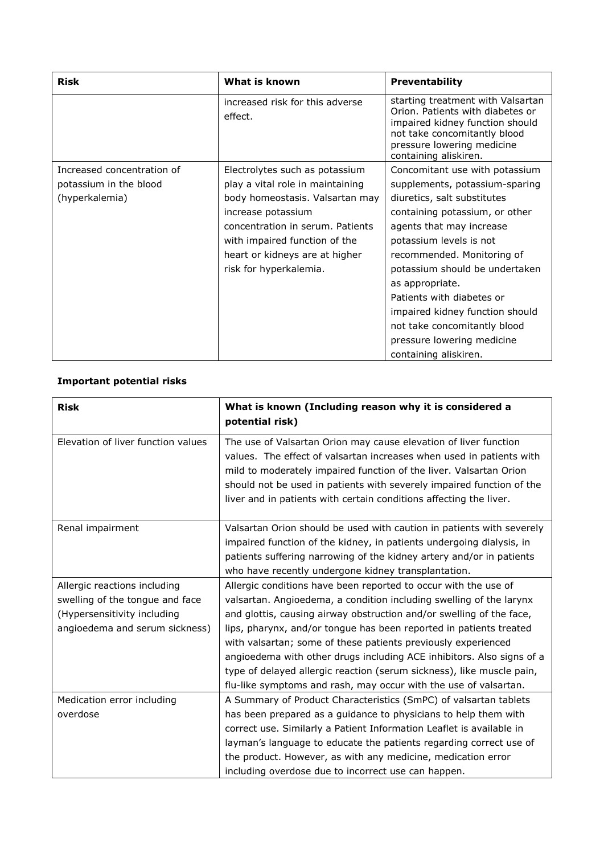| Risk                       | What is known                              | Preventability                                                                                                                                                                                  |
|----------------------------|--------------------------------------------|-------------------------------------------------------------------------------------------------------------------------------------------------------------------------------------------------|
|                            | increased risk for this adverse<br>effect. | starting treatment with Valsartan<br>Orion. Patients with diabetes or<br>impaired kidney function should<br>not take concomitantly blood<br>pressure lowering medicine<br>containing aliskiren. |
| Increased concentration of | Electrolytes such as potassium             | Concomitant use with potassium                                                                                                                                                                  |
| potassium in the blood     | play a vital role in maintaining           | supplements, potassium-sparing                                                                                                                                                                  |
| (hyperkalemia)             | body homeostasis. Valsartan may            | diuretics, salt substitutes                                                                                                                                                                     |
|                            | increase potassium                         | containing potassium, or other                                                                                                                                                                  |
|                            | concentration in serum. Patients           | agents that may increase                                                                                                                                                                        |
|                            | with impaired function of the              | potassium levels is not                                                                                                                                                                         |
|                            | heart or kidneys are at higher             | recommended. Monitoring of                                                                                                                                                                      |
|                            | risk for hyperkalemia.                     | potassium should be undertaken                                                                                                                                                                  |
|                            |                                            | as appropriate.                                                                                                                                                                                 |
|                            |                                            | Patients with diabetes or                                                                                                                                                                       |
|                            |                                            | impaired kidney function should                                                                                                                                                                 |
|                            |                                            | not take concomitantly blood                                                                                                                                                                    |
|                            |                                            | pressure lowering medicine                                                                                                                                                                      |
|                            |                                            | containing aliskiren.                                                                                                                                                                           |

## **Important potential risks**

| <b>Risk</b>                                                                                                                      | What is known (Including reason why it is considered a<br>potential risk)                                                                                                                                                                                                                                                                                                                                                                                                                                                                                                   |
|----------------------------------------------------------------------------------------------------------------------------------|-----------------------------------------------------------------------------------------------------------------------------------------------------------------------------------------------------------------------------------------------------------------------------------------------------------------------------------------------------------------------------------------------------------------------------------------------------------------------------------------------------------------------------------------------------------------------------|
| Elevation of liver function values                                                                                               | The use of Valsartan Orion may cause elevation of liver function<br>values. The effect of valsartan increases when used in patients with<br>mild to moderately impaired function of the liver. Valsartan Orion<br>should not be used in patients with severely impaired function of the<br>liver and in patients with certain conditions affecting the liver.                                                                                                                                                                                                               |
| Renal impairment                                                                                                                 | Valsartan Orion should be used with caution in patients with severely<br>impaired function of the kidney, in patients undergoing dialysis, in<br>patients suffering narrowing of the kidney artery and/or in patients<br>who have recently undergone kidney transplantation.                                                                                                                                                                                                                                                                                                |
| Allergic reactions including<br>swelling of the tongue and face<br>(Hypersensitivity including<br>angioedema and serum sickness) | Allergic conditions have been reported to occur with the use of<br>valsartan. Angioedema, a condition including swelling of the larynx<br>and glottis, causing airway obstruction and/or swelling of the face,<br>lips, pharynx, and/or tongue has been reported in patients treated<br>with valsartan; some of these patients previously experienced<br>angioedema with other drugs including ACE inhibitors. Also signs of a<br>type of delayed allergic reaction (serum sickness), like muscle pain,<br>flu-like symptoms and rash, may occur with the use of valsartan. |
| Medication error including<br>overdose                                                                                           | A Summary of Product Characteristics (SmPC) of valsartan tablets<br>has been prepared as a guidance to physicians to help them with<br>correct use. Similarly a Patient Information Leaflet is available in<br>layman's language to educate the patients regarding correct use of<br>the product. However, as with any medicine, medication error<br>including overdose due to incorrect use can happen.                                                                                                                                                                    |